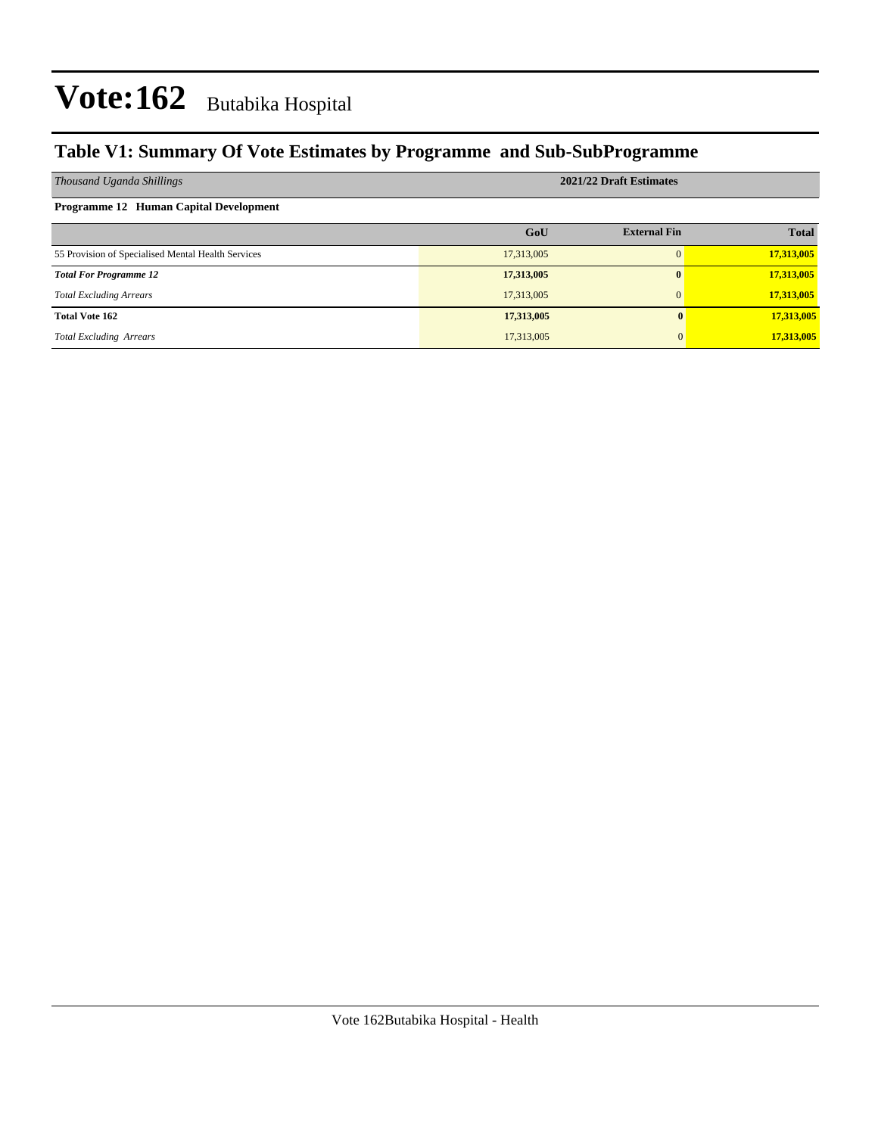### **Table V1: Summary Of Vote Estimates by Programme and Sub-SubProgramme**

| Thousand Uganda Shillings                          | 2021/22 Draft Estimates |                     |              |  |  |  |  |
|----------------------------------------------------|-------------------------|---------------------|--------------|--|--|--|--|
| <b>Programme 12 Human Capital Development</b>      |                         |                     |              |  |  |  |  |
|                                                    | GoU                     | <b>External Fin</b> | <b>Total</b> |  |  |  |  |
| 55 Provision of Specialised Mental Health Services | 17,313,005              |                     | 17,313,005   |  |  |  |  |
| <b>Total For Programme 12</b>                      | 17,313,005              |                     | 17,313,005   |  |  |  |  |
| <b>Total Excluding Arrears</b>                     | 17,313,005              |                     | 17,313,005   |  |  |  |  |
| <b>Total Vote 162</b>                              | 17,313,005              | $\mathbf{0}$        | 17,313,005   |  |  |  |  |
| <b>Total Excluding Arrears</b>                     | 17,313,005              | 0                   | 17,313,005   |  |  |  |  |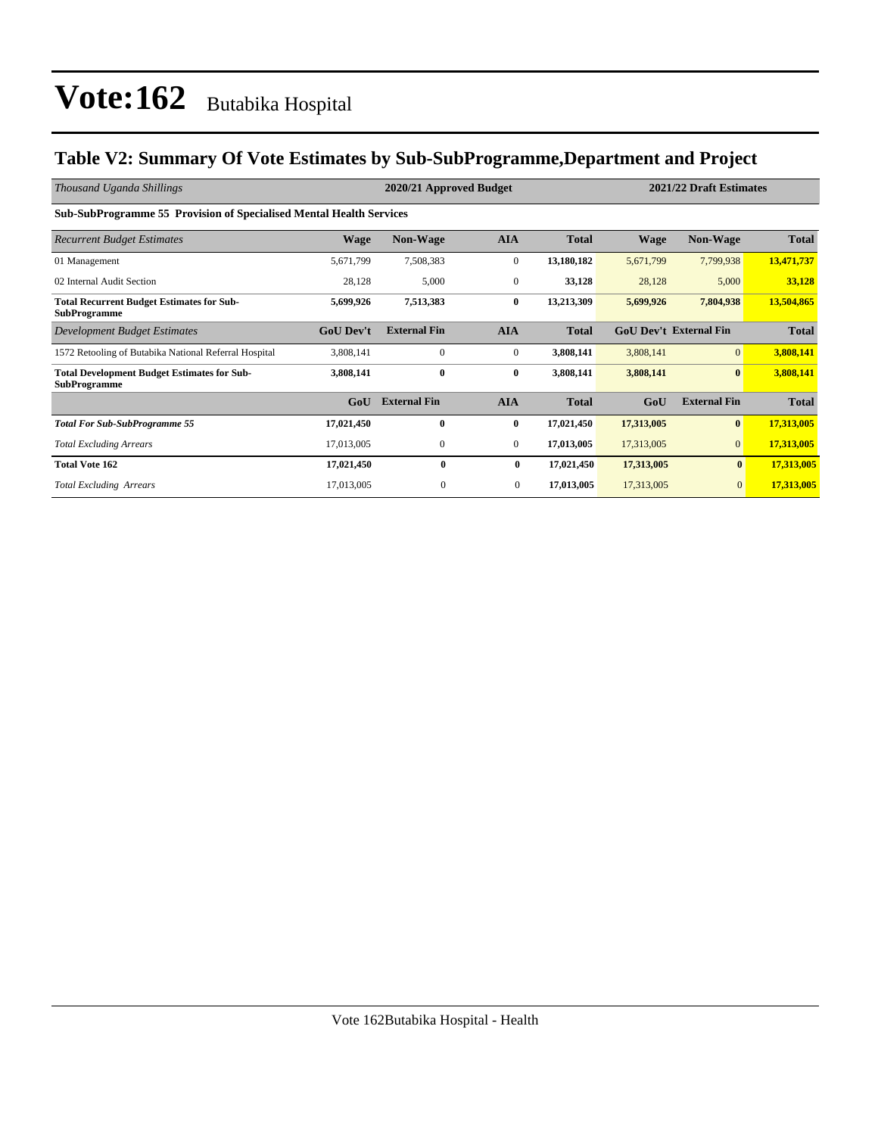### **Table V2: Summary Of Vote Estimates by Sub-SubProgramme,Department and Project**

| Thousand Uganda Shillings                                                  |                  | 2021/22 Draft Estimates<br>2020/21 Approved Budget |                  |              |            |                               |              |
|----------------------------------------------------------------------------|------------------|----------------------------------------------------|------------------|--------------|------------|-------------------------------|--------------|
| <b>Sub-SubProgramme 55 Provision of Specialised Mental Health Services</b> |                  |                                                    |                  |              |            |                               |              |
| <b>Recurrent Budget Estimates</b>                                          | <b>Wage</b>      | <b>Non-Wage</b>                                    | <b>AIA</b>       | <b>Total</b> | Wage       | <b>Non-Wage</b>               | Total        |
| 01 Management                                                              | 5,671,799        | 7,508,383                                          | $\boldsymbol{0}$ | 13,180,182   | 5,671,799  | 7,799,938                     | 13,471,737   |
| 02 Internal Audit Section                                                  | 28,128           | 5,000                                              | $\mathbf{0}$     | 33,128       | 28,128     | 5,000                         | 33,128       |
| <b>Total Recurrent Budget Estimates for Sub-</b><br><b>SubProgramme</b>    | 5,699,926        | 7,513,383                                          | $\bf{0}$         | 13,213,309   | 5,699,926  | 7,804,938                     | 13,504,865   |
| <b>Development Budget Estimates</b>                                        | <b>GoU Dev't</b> | <b>External Fin</b>                                | <b>AIA</b>       | <b>Total</b> |            | <b>GoU Dev't External Fin</b> | <b>Total</b> |
| 1572 Retooling of Butabika National Referral Hospital                      | 3,808,141        | $\mathbf{0}$                                       | $\mathbf{0}$     | 3,808,141    | 3,808,141  | $\overline{0}$                | 3,808,141    |
| <b>Total Development Budget Estimates for Sub-</b><br><b>SubProgramme</b>  | 3,808,141        | $\bf{0}$                                           | $\bf{0}$         | 3,808,141    | 3,808,141  | $\bf{0}$                      | 3,808,141    |
|                                                                            | GoU              | <b>External Fin</b>                                | <b>AIA</b>       | <b>Total</b> | GoU        | <b>External Fin</b>           | <b>Total</b> |
| <b>Total For Sub-SubProgramme 55</b>                                       | 17,021,450       | $\bf{0}$                                           | $\bf{0}$         | 17,021,450   | 17,313,005 | $\boldsymbol{0}$              | 17,313,005   |
| <b>Total Excluding Arrears</b>                                             | 17,013,005       | 0                                                  | $\mathbf{0}$     | 17,013,005   | 17,313,005 | $\mathbf{0}$                  | 17,313,005   |
| <b>Total Vote 162</b>                                                      | 17,021,450       | $\bf{0}$                                           | $\bf{0}$         | 17,021,450   | 17,313,005 | $\bf{0}$                      | 17,313,005   |
| <b>Total Excluding Arrears</b>                                             | 17,013,005       | $\mathbf{0}$                                       | $\overline{0}$   | 17,013,005   | 17,313,005 | $\mathbf{0}$                  | 17,313,005   |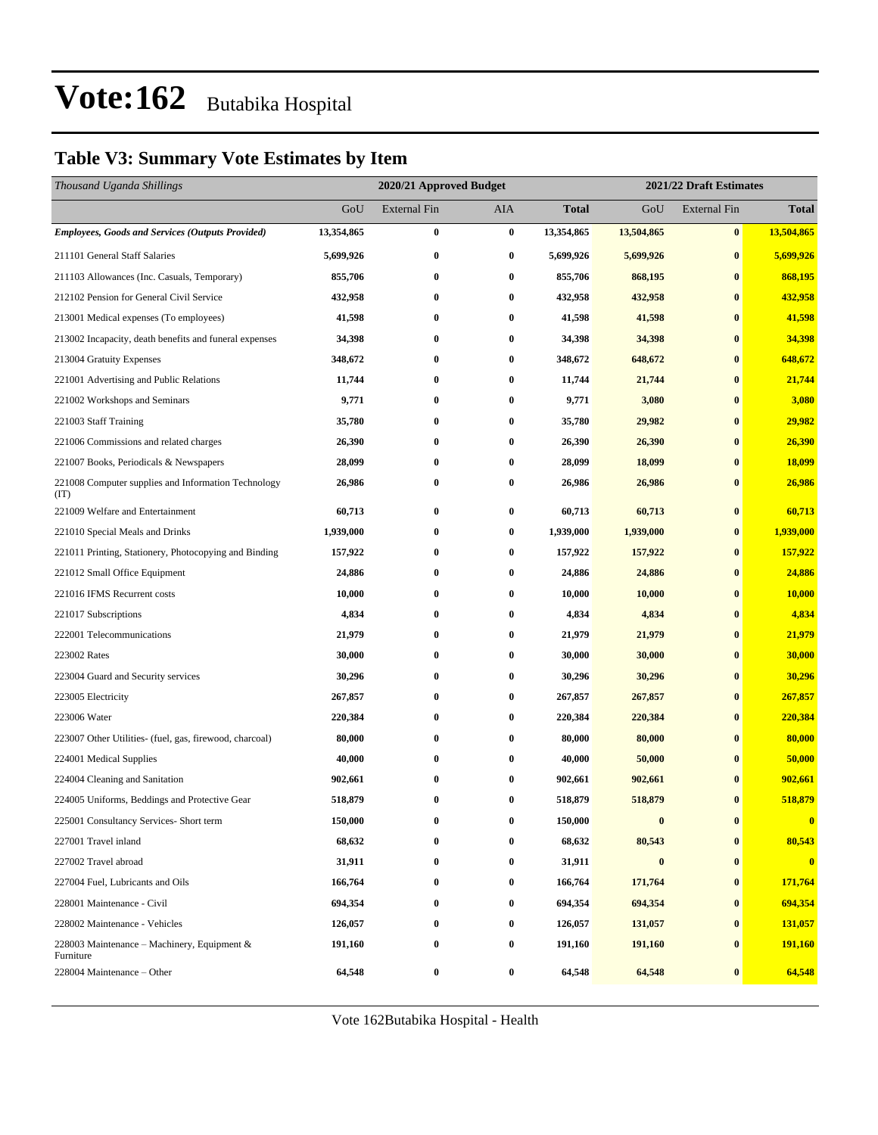### **Table V3: Summary Vote Estimates by Item**

| Thousand Uganda Shillings                                   |            | 2021/22 Draft Estimates<br>2020/21 Approved Budget |                  |            |            |                     |              |
|-------------------------------------------------------------|------------|----------------------------------------------------|------------------|------------|------------|---------------------|--------------|
|                                                             | GoU        | <b>External Fin</b>                                | AIA              | Total      | GoU        | <b>External Fin</b> | <b>Total</b> |
| <b>Employees, Goods and Services (Outputs Provided)</b>     | 13,354,865 | $\bf{0}$                                           | $\bf{0}$         | 13,354,865 | 13,504,865 | $\bf{0}$            | 13,504,865   |
| 211101 General Staff Salaries                               | 5,699,926  | $\bf{0}$                                           | $\bf{0}$         | 5,699,926  | 5,699,926  | $\bf{0}$            | 5,699,926    |
| 211103 Allowances (Inc. Casuals, Temporary)                 | 855,706    | $\bf{0}$                                           | 0                | 855,706    | 868,195    | $\bf{0}$            | 868,195      |
| 212102 Pension for General Civil Service                    | 432,958    | $\bf{0}$                                           | $\bf{0}$         | 432,958    | 432,958    | $\bf{0}$            | 432,958      |
| 213001 Medical expenses (To employees)                      | 41,598     | $\bf{0}$                                           | $\bf{0}$         | 41,598     | 41,598     | $\bf{0}$            | 41,598       |
| 213002 Incapacity, death benefits and funeral expenses      | 34,398     | $\bf{0}$                                           | $\bf{0}$         | 34,398     | 34,398     | $\bf{0}$            | 34,398       |
| 213004 Gratuity Expenses                                    | 348,672    | $\bf{0}$                                           | $\bf{0}$         | 348,672    | 648,672    | $\bf{0}$            | 648,672      |
| 221001 Advertising and Public Relations                     | 11,744     | $\bf{0}$                                           | 0                | 11,744     | 21,744     | $\bf{0}$            | 21,744       |
| 221002 Workshops and Seminars                               | 9,771      | $\bf{0}$                                           | $\bf{0}$         | 9,771      | 3,080      | $\bf{0}$            | 3,080        |
| 221003 Staff Training                                       | 35,780     | $\bf{0}$                                           | $\bf{0}$         | 35,780     | 29,982     | $\bf{0}$            | 29,982       |
| 221006 Commissions and related charges                      | 26,390     | $\bf{0}$                                           | $\bf{0}$         | 26,390     | 26,390     | $\bf{0}$            | 26,390       |
| 221007 Books, Periodicals & Newspapers                      | 28,099     | $\bf{0}$                                           | $\bf{0}$         | 28,099     | 18,099     | $\bf{0}$            | 18,099       |
| 221008 Computer supplies and Information Technology<br>(TT) | 26,986     | $\bf{0}$                                           | 0                | 26,986     | 26,986     | $\bf{0}$            | 26,986       |
| 221009 Welfare and Entertainment                            | 60,713     | $\bf{0}$                                           | $\bf{0}$         | 60,713     | 60,713     | $\bf{0}$            | 60,713       |
| 221010 Special Meals and Drinks                             | 1,939,000  | $\bf{0}$                                           | $\bf{0}$         | 1,939,000  | 1,939,000  | $\bf{0}$            | 1,939,000    |
| 221011 Printing, Stationery, Photocopying and Binding       | 157,922    | $\bf{0}$                                           | 0                | 157,922    | 157,922    | $\bf{0}$            | 157,922      |
| 221012 Small Office Equipment                               | 24,886     | $\bf{0}$                                           | 0                | 24,886     | 24,886     | $\bf{0}$            | 24,886       |
| 221016 IFMS Recurrent costs                                 | 10,000     | $\bf{0}$                                           | $\bf{0}$         | 10,000     | 10,000     | $\bf{0}$            | 10,000       |
| 221017 Subscriptions                                        | 4,834      | $\bf{0}$                                           | $\bf{0}$         | 4,834      | 4,834      | $\bf{0}$            | 4,834        |
| 222001 Telecommunications                                   | 21,979     | $\bf{0}$                                           | $\bf{0}$         | 21,979     | 21,979     | $\bf{0}$            | 21,979       |
| 223002 Rates                                                | 30,000     | $\bf{0}$                                           | $\bf{0}$         | 30,000     | 30,000     | $\bf{0}$            | 30,000       |
| 223004 Guard and Security services                          | 30,296     | $\bf{0}$                                           | $\bf{0}$         | 30,296     | 30,296     | $\bf{0}$            | 30,296       |
| 223005 Electricity                                          | 267,857    | $\bf{0}$                                           | $\bf{0}$         | 267,857    | 267,857    | $\bf{0}$            | 267,857      |
| 223006 Water                                                | 220,384    | $\bf{0}$                                           | $\bf{0}$         | 220,384    | 220,384    | $\bf{0}$            | 220,384      |
| 223007 Other Utilities- (fuel, gas, firewood, charcoal)     | 80,000     | $\bf{0}$                                           | $\bf{0}$         | 80,000     | 80,000     | $\bf{0}$            | 80,000       |
| 224001 Medical Supplies                                     | 40,000     | $\bf{0}$                                           | 0                | 40,000     | 50,000     | $\bf{0}$            | 50,000       |
| 224004 Cleaning and Sanitation                              | 902,661    | $\bf{0}$                                           | 0                | 902,661    | 902,661    | $\bf{0}$            | 902,661      |
| 224005 Uniforms, Beddings and Protective Gear               | 518,879    | $\bf{0}$                                           | $\bf{0}$         | 518,879    | 518,879    | $\bf{0}$            | 518,879      |
| 225001 Consultancy Services- Short term                     | 150,000    | 0                                                  | 0                | 150,000    | $\bf{0}$   | $\bf{0}$            | $\bf{0}$     |
| 227001 Travel inland                                        | 68,632     | 0                                                  | 0                | 68,632     | 80,543     | $\bf{0}$            | 80,543       |
| 227002 Travel abroad                                        | 31,911     | $\bf{0}$                                           | $\bf{0}$         | 31,911     | $\bf{0}$   | $\bf{0}$            | $\mathbf{0}$ |
| 227004 Fuel, Lubricants and Oils                            | 166,764    | $\bf{0}$                                           | 0                | 166,764    | 171,764    | $\bf{0}$            | 171,764      |
| 228001 Maintenance - Civil                                  | 694,354    | $\bf{0}$                                           | $\boldsymbol{0}$ | 694,354    | 694,354    | $\bf{0}$            | 694,354      |
| 228002 Maintenance - Vehicles                               | 126,057    | $\bf{0}$                                           | $\bf{0}$         | 126,057    | 131,057    | $\bf{0}$            | 131,057      |
| 228003 Maintenance – Machinery, Equipment $\&$<br>Furniture | 191,160    | $\bf{0}$                                           | $\boldsymbol{0}$ | 191,160    | 191,160    | $\bf{0}$            | 191,160      |
| 228004 Maintenance - Other                                  | 64,548     | $\bf{0}$                                           | $\boldsymbol{0}$ | 64,548     | 64,548     | $\pmb{0}$           | 64,548       |

Vote 162Butabika Hospital - Health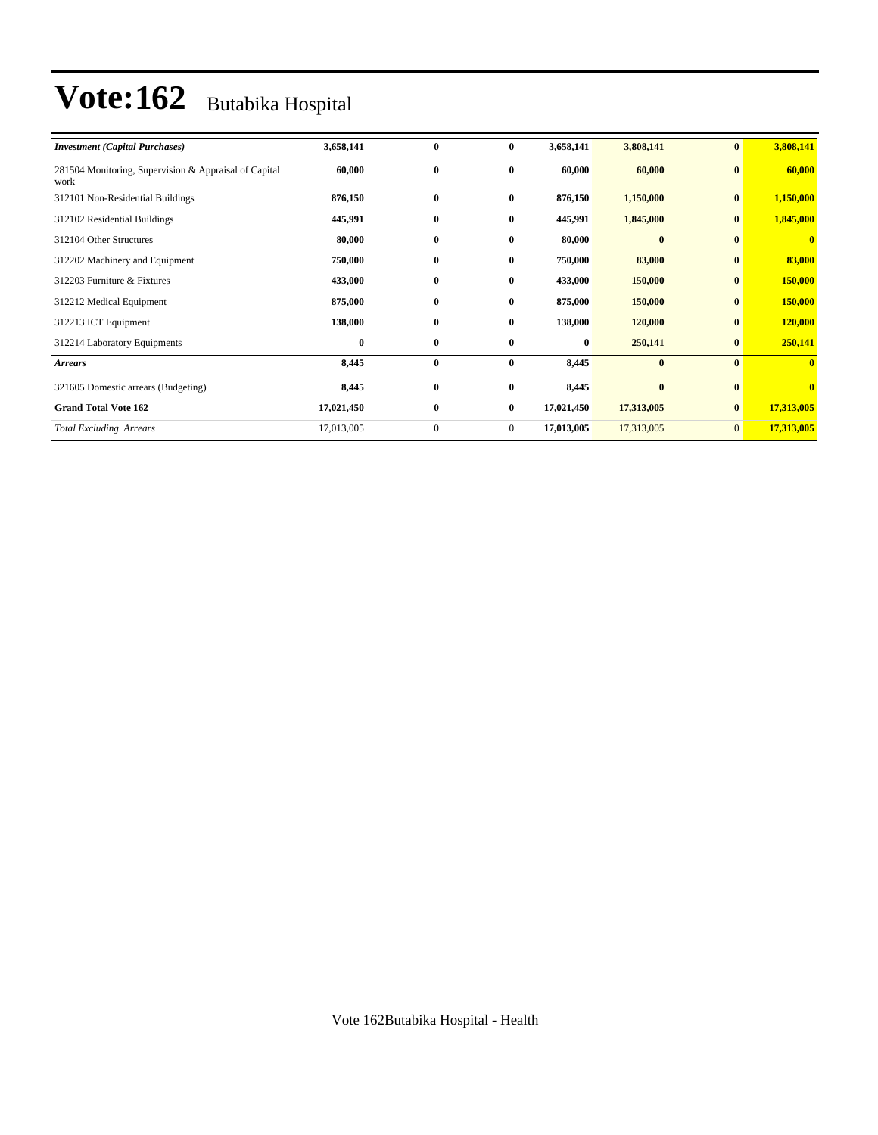| <b>Investment</b> (Capital Purchases)                         | 3,658,141  | $\bf{0}$     | $\bf{0}$       | 3,658,141  | 3,808,141  | $\bf{0}$        | 3,808,141               |
|---------------------------------------------------------------|------------|--------------|----------------|------------|------------|-----------------|-------------------------|
| 281504 Monitoring, Supervision & Appraisal of Capital<br>work | 60,000     | $\bf{0}$     | $\bf{0}$       | 60,000     | 60,000     | $\bf{0}$        | 60,000                  |
| 312101 Non-Residential Buildings                              | 876,150    | $\bf{0}$     | $\bf{0}$       | 876,150    | 1,150,000  | $\bf{0}$        | 1,150,000               |
| 312102 Residential Buildings                                  | 445,991    | $\bf{0}$     | $\bf{0}$       | 445,991    | 1,845,000  | $\bf{0}$        | 1,845,000               |
| 312104 Other Structures                                       | 80,000     | $\bf{0}$     | $\bf{0}$       | 80,000     | $\bf{0}$   | $\bf{0}$        | $\mathbf{0}$            |
| 312202 Machinery and Equipment                                | 750,000    | $\bf{0}$     | $\bf{0}$       | 750,000    | 83,000     | $\bf{0}$        | 83,000                  |
| 312203 Furniture & Fixtures                                   | 433,000    | $\bf{0}$     | $\bf{0}$       | 433,000    | 150,000    | $\bf{0}$        | 150,000                 |
| 312212 Medical Equipment                                      | 875,000    | $\bf{0}$     | $\bf{0}$       | 875,000    | 150,000    | $\bf{0}$        | 150,000                 |
| 312213 ICT Equipment                                          | 138,000    | $\bf{0}$     | $\bf{0}$       | 138,000    | 120,000    | $\bf{0}$        | 120,000                 |
| 312214 Laboratory Equipments                                  | $\bf{0}$   | $\bf{0}$     | $\bf{0}$       | $\bf{0}$   | 250,141    | $\bf{0}$        | 250,141                 |
| <b>Arrears</b>                                                | 8,445      | $\bf{0}$     | $\bf{0}$       | 8,445      | $\bf{0}$   | $\mathbf{0}$    | $\overline{\mathbf{0}}$ |
| 321605 Domestic arrears (Budgeting)                           | 8,445      | $\bf{0}$     | $\bf{0}$       | 8,445      | $\bf{0}$   | $\bf{0}$        | $\overline{\mathbf{0}}$ |
| <b>Grand Total Vote 162</b>                                   | 17,021,450 | $\bf{0}$     | $\bf{0}$       | 17,021,450 | 17,313,005 | $\bf{0}$        | 17,313,005              |
| <b>Total Excluding Arrears</b>                                | 17,013,005 | $\mathbf{0}$ | $\overline{0}$ | 17,013,005 | 17,313,005 | $\vert 0 \vert$ | 17,313,005              |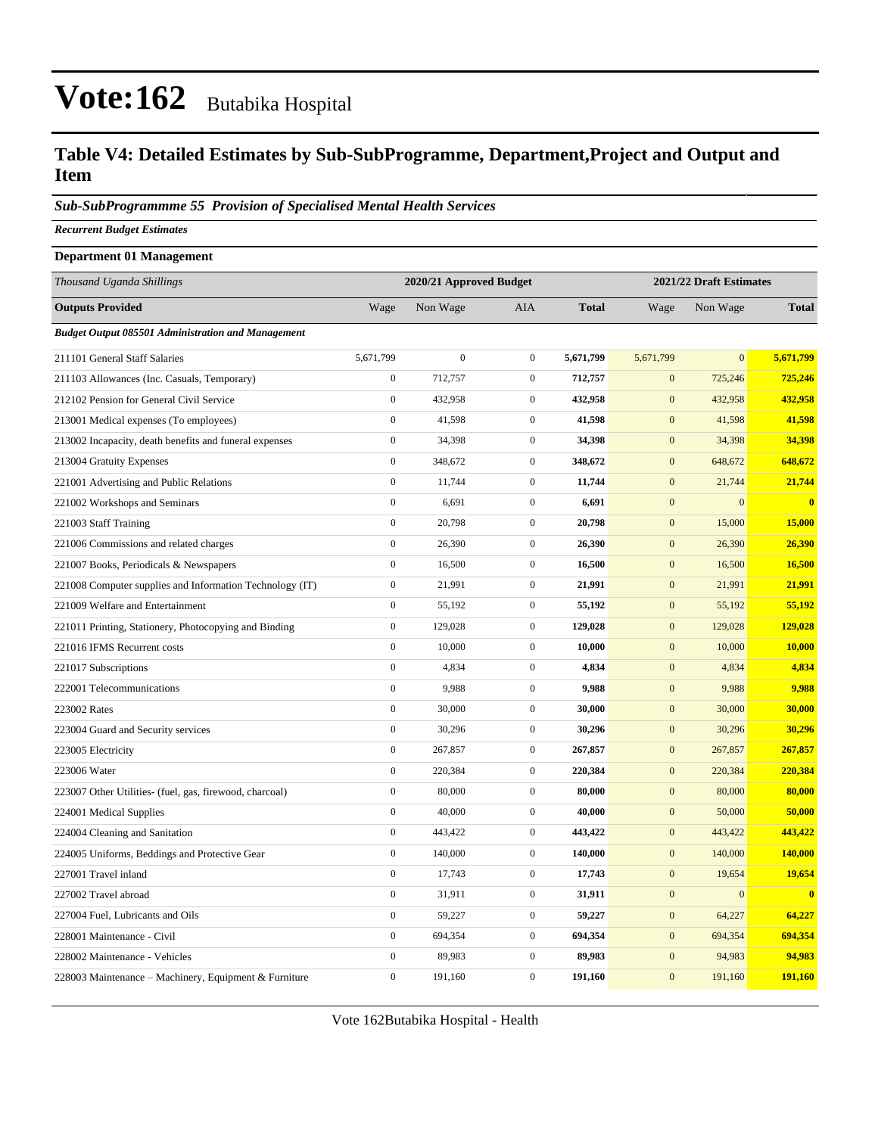#### **Table V4: Detailed Estimates by Sub-SubProgramme, Department,Project and Output and Item**

#### *Sub-SubProgrammme 55 Provision of Specialised Mental Health Services*

*Recurrent Budget Estimates*

#### **Department 01 Management**

| Thousand Uganda Shillings                                 |                  | 2020/21 Approved Budget |                  |              | 2021/22 Draft Estimates |                |              |
|-----------------------------------------------------------|------------------|-------------------------|------------------|--------------|-------------------------|----------------|--------------|
| <b>Outputs Provided</b>                                   | Wage             | Non Wage                | <b>AIA</b>       | <b>Total</b> | Wage                    | Non Wage       | <b>Total</b> |
| <b>Budget Output 085501 Administration and Management</b> |                  |                         |                  |              |                         |                |              |
| 211101 General Staff Salaries                             | 5,671,799        | $\mathbf{0}$            | $\mathbf{0}$     | 5,671,799    | 5,671,799               | $\overline{0}$ | 5,671,799    |
| 211103 Allowances (Inc. Casuals, Temporary)               | $\boldsymbol{0}$ | 712,757                 | $\boldsymbol{0}$ | 712,757      | $\mathbf{0}$            | 725,246        | 725,246      |
| 212102 Pension for General Civil Service                  | $\boldsymbol{0}$ | 432,958                 | $\mathbf{0}$     | 432,958      | $\mathbf{0}$            | 432,958        | 432,958      |
| 213001 Medical expenses (To employees)                    | $\boldsymbol{0}$ | 41,598                  | $\mathbf{0}$     | 41,598       | $\mathbf{0}$            | 41,598         | 41,598       |
| 213002 Incapacity, death benefits and funeral expenses    | $\overline{0}$   | 34,398                  | $\mathbf{0}$     | 34,398       | $\boldsymbol{0}$        | 34,398         | 34,398       |
| 213004 Gratuity Expenses                                  | $\boldsymbol{0}$ | 348,672                 | $\mathbf{0}$     | 348,672      | $\boldsymbol{0}$        | 648,672        | 648,672      |
| 221001 Advertising and Public Relations                   | $\boldsymbol{0}$ | 11,744                  | $\boldsymbol{0}$ | 11,744       | $\mathbf{0}$            | 21,744         | 21,744       |
| 221002 Workshops and Seminars                             | $\boldsymbol{0}$ | 6,691                   | $\boldsymbol{0}$ | 6,691        | $\mathbf{0}$            | $\overline{0}$ | $\mathbf{0}$ |
| 221003 Staff Training                                     | $\boldsymbol{0}$ | 20,798                  | $\mathbf{0}$     | 20,798       | $\mathbf{0}$            | 15,000         | 15,000       |
| 221006 Commissions and related charges                    | $\boldsymbol{0}$ | 26,390                  | $\boldsymbol{0}$ | 26,390       | $\mathbf{0}$            | 26,390         | 26,390       |
| 221007 Books, Periodicals & Newspapers                    | $\boldsymbol{0}$ | 16,500                  | $\boldsymbol{0}$ | 16,500       | $\mathbf{0}$            | 16,500         | 16,500       |
| 221008 Computer supplies and Information Technology (IT)  | $\boldsymbol{0}$ | 21,991                  | $\mathbf{0}$     | 21,991       | $\boldsymbol{0}$        | 21,991         | 21,991       |
| 221009 Welfare and Entertainment                          | $\boldsymbol{0}$ | 55,192                  | $\mathbf{0}$     | 55,192       | $\boldsymbol{0}$        | 55,192         | 55,192       |
| 221011 Printing, Stationery, Photocopying and Binding     | $\boldsymbol{0}$ | 129,028                 | $\mathbf{0}$     | 129,028      | $\mathbf{0}$            | 129,028        | 129,028      |
| 221016 IFMS Recurrent costs                               | $\overline{0}$   | 10,000                  | $\mathbf{0}$     | 10,000       | $\boldsymbol{0}$        | 10,000         | 10,000       |
| 221017 Subscriptions                                      | $\boldsymbol{0}$ | 4,834                   | $\mathbf{0}$     | 4,834        | $\mathbf{0}$            | 4,834          | 4,834        |
| 222001 Telecommunications                                 | $\boldsymbol{0}$ | 9,988                   | $\boldsymbol{0}$ | 9,988        | $\mathbf{0}$            | 9,988          | 9,988        |
| 223002 Rates                                              | $\overline{0}$   | 30,000                  | $\mathbf{0}$     | 30,000       | $\mathbf{0}$            | 30,000         | 30,000       |
| 223004 Guard and Security services                        | $\boldsymbol{0}$ | 30,296                  | $\boldsymbol{0}$ | 30,296       | $\boldsymbol{0}$        | 30,296         | 30,296       |
| 223005 Electricity                                        | $\boldsymbol{0}$ | 267,857                 | $\mathbf{0}$     | 267,857      | $\mathbf{0}$            | 267,857        | 267,857      |
| 223006 Water                                              | $\boldsymbol{0}$ | 220,384                 | $\boldsymbol{0}$ | 220,384      | $\mathbf{0}$            | 220,384        | 220,384      |
| 223007 Other Utilities- (fuel, gas, firewood, charcoal)   | $\overline{0}$   | 80,000                  | $\boldsymbol{0}$ | 80,000       | $\boldsymbol{0}$        | 80,000         | 80,000       |
| 224001 Medical Supplies                                   | $\boldsymbol{0}$ | 40,000                  | $\boldsymbol{0}$ | 40,000       | $\boldsymbol{0}$        | 50,000         | 50,000       |
| 224004 Cleaning and Sanitation                            | $\boldsymbol{0}$ | 443,422                 | $\mathbf{0}$     | 443,422      | $\mathbf{0}$            | 443,422        | 443,422      |
| 224005 Uniforms, Beddings and Protective Gear             | $\boldsymbol{0}$ | 140,000                 | $\mathbf{0}$     | 140,000      | $\mathbf{0}$            | 140,000        | 140,000      |
| 227001 Travel inland                                      | $\boldsymbol{0}$ | 17,743                  | $\boldsymbol{0}$ | 17,743       | $\boldsymbol{0}$        | 19,654         | 19,654       |
| 227002 Travel abroad                                      | $\boldsymbol{0}$ | 31,911                  | $\mathbf{0}$     | 31,911       | $\mathbf{0}$            | $\overline{0}$ | $\bf{0}$     |
| 227004 Fuel, Lubricants and Oils                          | $\overline{0}$   | 59,227                  | $\mathbf{0}$     | 59,227       | $\mathbf{0}$            | 64,227         | 64,227       |
| 228001 Maintenance - Civil                                | $\boldsymbol{0}$ | 694,354                 | $\boldsymbol{0}$ | 694,354      | $\boldsymbol{0}$        | 694,354        | 694,354      |
| 228002 Maintenance - Vehicles                             | $\boldsymbol{0}$ | 89,983                  | $\mathbf{0}$     | 89,983       | $\mathbf{0}$            | 94,983         | 94,983       |
| 228003 Maintenance – Machinery, Equipment & Furniture     | $\overline{0}$   | 191,160                 | $\mathbf{0}$     | 191,160      | $\mathbf{0}$            | 191,160        | 191,160      |

Vote 162Butabika Hospital - Health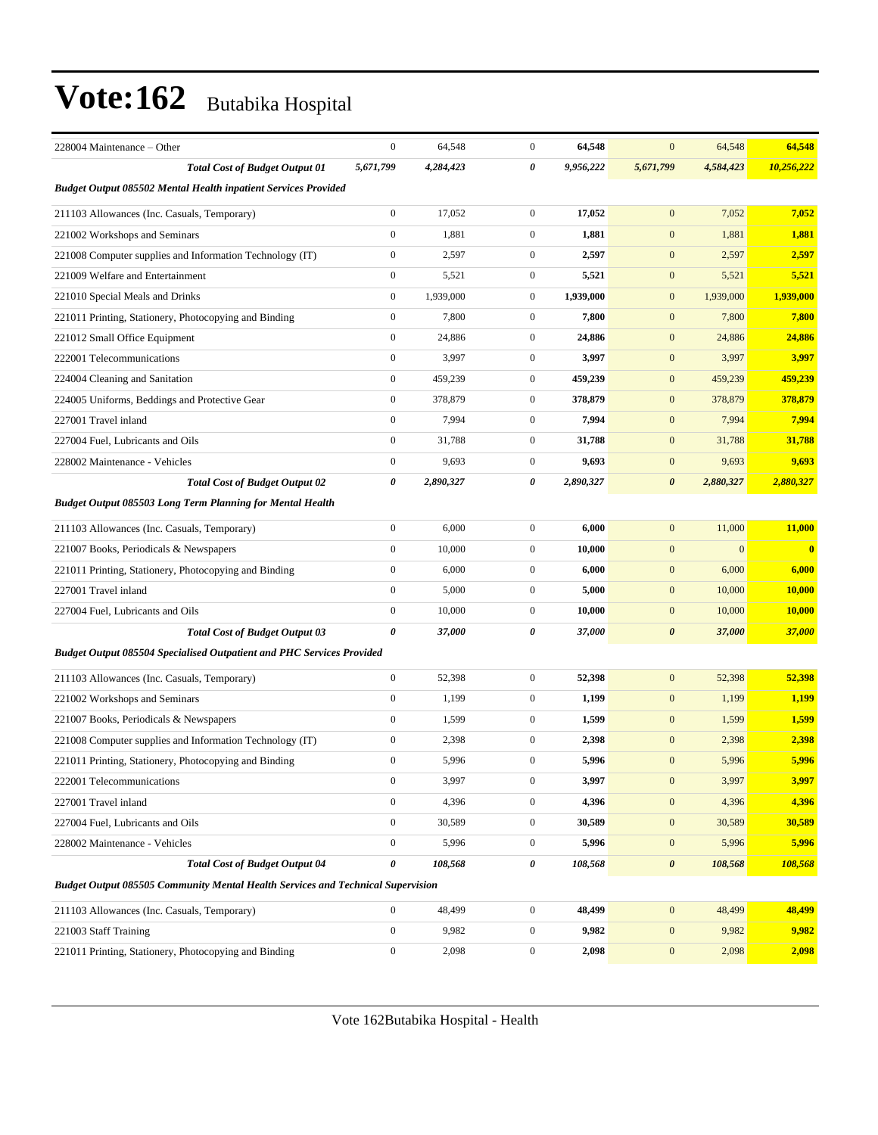| 228004 Maintenance - Other                                                             | $\boldsymbol{0}$      | 64,548    | $\mathbf{0}$     | 64,548    | $\overline{0}$        | 64,548       | 64,548     |
|----------------------------------------------------------------------------------------|-----------------------|-----------|------------------|-----------|-----------------------|--------------|------------|
| <b>Total Cost of Budget Output 01</b>                                                  | 5,671,799             | 4,284,423 | 0                | 9,956,222 | 5,671,799             | 4,584,423    | 10,256,222 |
| <b>Budget Output 085502 Mental Health inpatient Services Provided</b>                  |                       |           |                  |           |                       |              |            |
| 211103 Allowances (Inc. Casuals, Temporary)                                            | $\boldsymbol{0}$      | 17,052    | $\boldsymbol{0}$ | 17,052    | $\mathbf{0}$          | 7,052        | 7,052      |
| 221002 Workshops and Seminars                                                          | $\boldsymbol{0}$      | 1,881     | $\boldsymbol{0}$ | 1,881     | $\mathbf{0}$          | 1,881        | 1,881      |
| 221008 Computer supplies and Information Technology (IT)                               | $\boldsymbol{0}$      | 2,597     | $\mathbf{0}$     | 2,597     | $\mathbf{0}$          | 2,597        | 2,597      |
| 221009 Welfare and Entertainment                                                       | $\boldsymbol{0}$      | 5,521     | $\mathbf{0}$     | 5,521     | $\mathbf{0}$          | 5,521        | 5,521      |
| 221010 Special Meals and Drinks                                                        | $\boldsymbol{0}$      | 1,939,000 | $\mathbf{0}$     | 1,939,000 | $\mathbf{0}$          | 1,939,000    | 1,939,000  |
| 221011 Printing, Stationery, Photocopying and Binding                                  | $\boldsymbol{0}$      | 7,800     | $\mathbf{0}$     | 7,800     | $\mathbf{0}$          | 7,800        | 7,800      |
| 221012 Small Office Equipment                                                          | $\boldsymbol{0}$      | 24,886    | $\mathbf{0}$     | 24,886    | $\mathbf{0}$          | 24,886       | 24,886     |
| 222001 Telecommunications                                                              | $\boldsymbol{0}$      | 3,997     | $\mathbf{0}$     | 3,997     | $\mathbf{0}$          | 3,997        | 3,997      |
| 224004 Cleaning and Sanitation                                                         | $\boldsymbol{0}$      | 459,239   | $\mathbf{0}$     | 459,239   | $\mathbf{0}$          | 459,239      | 459,239    |
| 224005 Uniforms, Beddings and Protective Gear                                          | $\overline{0}$        | 378,879   | $\mathbf{0}$     | 378,879   | $\mathbf{0}$          | 378,879      | 378,879    |
| 227001 Travel inland                                                                   | $\boldsymbol{0}$      | 7,994     | $\mathbf{0}$     | 7,994     | $\mathbf{0}$          | 7,994        | 7,994      |
| 227004 Fuel, Lubricants and Oils                                                       | $\boldsymbol{0}$      | 31,788    | $\mathbf{0}$     | 31,788    | $\mathbf{0}$          | 31,788       | 31,788     |
| 228002 Maintenance - Vehicles                                                          | $\boldsymbol{0}$      | 9,693     | $\mathbf{0}$     | 9,693     | $\mathbf{0}$          | 9,693        | 9,693      |
| <b>Total Cost of Budget Output 02</b>                                                  | 0                     | 2,890,327 | 0                | 2,890,327 | $\boldsymbol{\theta}$ | 2,880,327    | 2,880,327  |
| Budget Output 085503 Long Term Planning for Mental Health                              |                       |           |                  |           |                       |              |            |
| 211103 Allowances (Inc. Casuals, Temporary)                                            | $\boldsymbol{0}$      | 6,000     | $\mathbf{0}$     | 6,000     | $\mathbf{0}$          | 11,000       | 11,000     |
| 221007 Books, Periodicals & Newspapers                                                 | $\boldsymbol{0}$      | 10,000    | $\mathbf{0}$     | 10,000    | $\mathbf{0}$          | $\mathbf{0}$ | $\bf{0}$   |
| 221011 Printing, Stationery, Photocopying and Binding                                  | $\boldsymbol{0}$      | 6,000     | $\mathbf{0}$     | 6,000     | $\mathbf{0}$          | 6,000        | 6,000      |
| 227001 Travel inland                                                                   | $\boldsymbol{0}$      | 5,000     | $\mathbf{0}$     | 5,000     | $\mathbf{0}$          | 10,000       | 10,000     |
| 227004 Fuel, Lubricants and Oils                                                       | $\boldsymbol{0}$      | 10,000    | $\mathbf{0}$     | 10,000    | $\mathbf{0}$          | 10,000       | 10,000     |
| <b>Total Cost of Budget Output 03</b>                                                  | $\boldsymbol{\theta}$ | 37,000    | 0                | 37,000    | $\boldsymbol{\theta}$ | 37,000       | 37,000     |
| <b>Budget Output 085504 Specialised Outpatient and PHC Services Provided</b>           |                       |           |                  |           |                       |              |            |
| 211103 Allowances (Inc. Casuals, Temporary)                                            | $\boldsymbol{0}$      | 52,398    | $\mathbf{0}$     | 52,398    | $\mathbf{0}$          | 52,398       | 52,398     |
| 221002 Workshops and Seminars                                                          | $\boldsymbol{0}$      | 1,199     | $\boldsymbol{0}$ | 1,199     | $\mathbf{0}$          | 1,199        | 1,199      |
| 221007 Books, Periodicals & Newspapers                                                 | $\boldsymbol{0}$      | 1,599     | $\mathbf{0}$     | 1,599     | $\mathbf{0}$          | 1,599        | 1,599      |
| 221008 Computer supplies and Information Technology (IT)                               | $\boldsymbol{0}$      | 2,398     | $\mathbf{0}$     | 2,398     | $\mathbf{0}$          | 2,398        | 2,398      |
| 221011 Printing, Stationery, Photocopying and Binding                                  | $\boldsymbol{0}$      | 5,996     | $\mathbf{0}$     | 5,996     | $\mathbf{0}$          | 5,996        | 5,996      |
| 222001 Telecommunications                                                              | $\boldsymbol{0}$      | 3,997     | $\boldsymbol{0}$ | 3,997     | $\boldsymbol{0}$      | 3,997        | 3,997      |
| 227001 Travel inland                                                                   | $\boldsymbol{0}$      | 4,396     | $\boldsymbol{0}$ | 4,396     | $\boldsymbol{0}$      | 4,396        | 4,396      |
| 227004 Fuel, Lubricants and Oils                                                       | $\boldsymbol{0}$      | 30,589    | $\boldsymbol{0}$ | 30,589    | $\boldsymbol{0}$      | 30,589       | 30,589     |
| 228002 Maintenance - Vehicles                                                          | $\boldsymbol{0}$      | 5,996     | $\boldsymbol{0}$ | 5,996     | $\boldsymbol{0}$      | 5,996        | 5,996      |
| <b>Total Cost of Budget Output 04</b>                                                  | 0                     | 108,568   | 0                | 108,568   | $\boldsymbol{\theta}$ | 108,568      | 108,568    |
| <b>Budget Output 085505 Community Mental Health Services and Technical Supervision</b> |                       |           |                  |           |                       |              |            |
| 211103 Allowances (Inc. Casuals, Temporary)                                            | $\mathbf{0}$          | 48,499    | $\mathbf{0}$     | 48,499    | $\boldsymbol{0}$      | 48,499       | 48,499     |
| 221003 Staff Training                                                                  | $\mathbf{0}$          | 9,982     | $\boldsymbol{0}$ | 9,982     | $\boldsymbol{0}$      | 9,982        | 9,982      |
| 221011 Printing, Stationery, Photocopying and Binding                                  | $\boldsymbol{0}$      | 2,098     | $\boldsymbol{0}$ | 2,098     | $\boldsymbol{0}$      | 2,098        | 2,098      |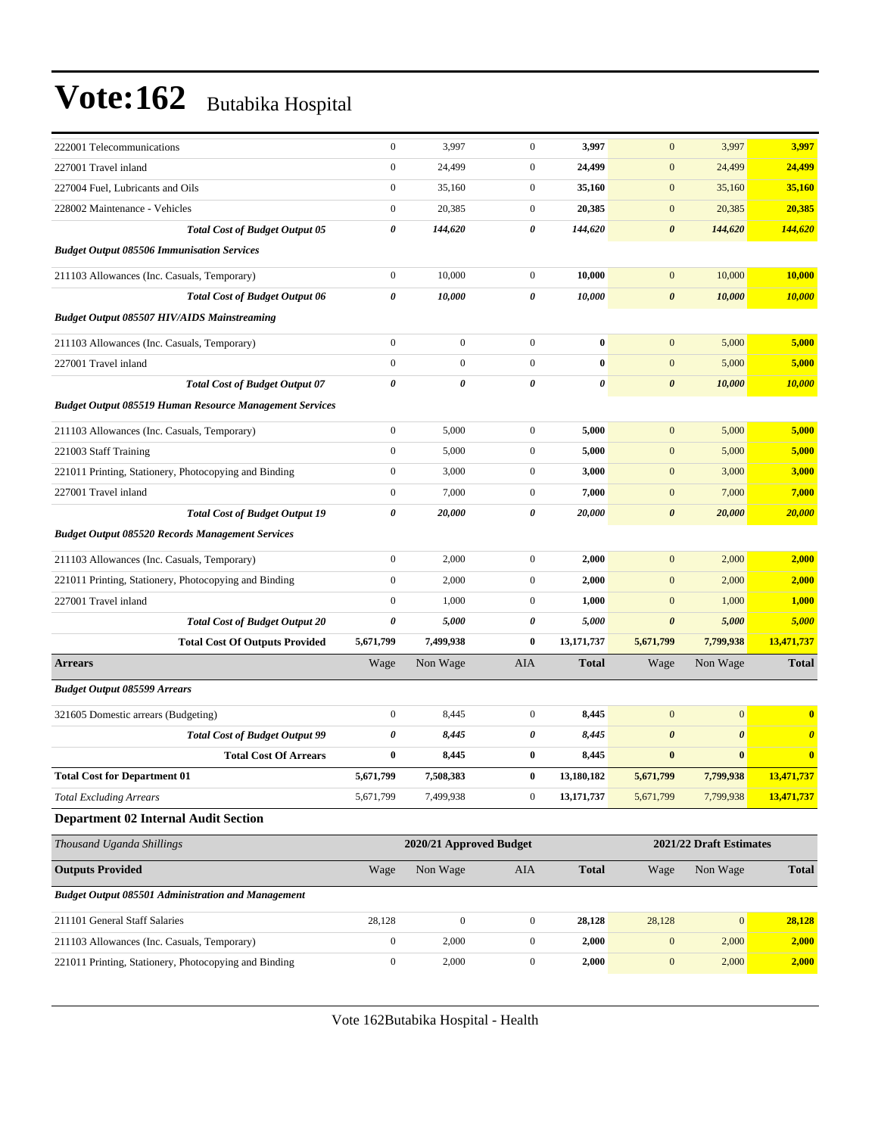| 222001 Telecommunications                                      | $\boldsymbol{0}$      | 3,997                   | $\boldsymbol{0}$ | 3,997        | $\mathbf{0}$          | 3,997                   | 3,997                 |
|----------------------------------------------------------------|-----------------------|-------------------------|------------------|--------------|-----------------------|-------------------------|-----------------------|
| 227001 Travel inland                                           | $\boldsymbol{0}$      | 24,499                  | $\mathbf{0}$     | 24,499       | $\boldsymbol{0}$      | 24,499                  | 24,499                |
| 227004 Fuel, Lubricants and Oils                               | $\boldsymbol{0}$      | 35,160                  | $\mathbf{0}$     | 35,160       | $\boldsymbol{0}$      | 35,160                  | 35,160                |
| 228002 Maintenance - Vehicles                                  | $\boldsymbol{0}$      | 20,385                  | $\mathbf{0}$     | 20,385       | $\boldsymbol{0}$      | 20,385                  | 20,385                |
| <b>Total Cost of Budget Output 05</b>                          | $\pmb{\theta}$        | 144,620                 | 0                | 144,620      | $\boldsymbol{\theta}$ | 144,620                 | 144,620               |
| <b>Budget Output 085506 Immunisation Services</b>              |                       |                         |                  |              |                       |                         |                       |
| 211103 Allowances (Inc. Casuals, Temporary)                    | $\boldsymbol{0}$      | 10,000                  | $\mathbf{0}$     | 10,000       | $\mathbf{0}$          | 10,000                  | 10,000                |
| <b>Total Cost of Budget Output 06</b>                          | $\pmb{\theta}$        | 10,000                  | 0                | 10,000       | $\boldsymbol{\theta}$ | 10,000                  | 10,000                |
| <b>Budget Output 085507 HIV/AIDS Mainstreaming</b>             |                       |                         |                  |              |                       |                         |                       |
| 211103 Allowances (Inc. Casuals, Temporary)                    | $\boldsymbol{0}$      | $\mathbf{0}$            | $\boldsymbol{0}$ | $\bf{0}$     | $\mathbf{0}$          | 5,000                   | 5,000                 |
| 227001 Travel inland                                           | $\mathbf{0}$          | $\boldsymbol{0}$        | $\mathbf{0}$     | $\bf{0}$     | $\boldsymbol{0}$      | 5,000                   | 5,000                 |
| <b>Total Cost of Budget Output 07</b>                          | $\boldsymbol{\theta}$ | 0                       | $\theta$         | 0            | $\boldsymbol{\theta}$ | 10,000                  | 10,000                |
| <b>Budget Output 085519 Human Resource Management Services</b> |                       |                         |                  |              |                       |                         |                       |
| 211103 Allowances (Inc. Casuals, Temporary)                    | $\boldsymbol{0}$      | 5,000                   | $\mathbf{0}$     | 5,000        | $\boldsymbol{0}$      | 5,000                   | 5,000                 |
| 221003 Staff Training                                          | $\boldsymbol{0}$      | 5,000                   | $\mathbf{0}$     | 5,000        | $\boldsymbol{0}$      | 5,000                   | 5,000                 |
| 221011 Printing, Stationery, Photocopying and Binding          | $\boldsymbol{0}$      | 3,000                   | $\mathbf{0}$     | 3,000        | $\mathbf{0}$          | 3,000                   | 3,000                 |
| 227001 Travel inland                                           | $\boldsymbol{0}$      | 7,000                   | $\mathbf{0}$     | 7,000        | $\boldsymbol{0}$      | 7,000                   | 7,000                 |
| <b>Total Cost of Budget Output 19</b>                          | $\pmb{\theta}$        | 20,000                  | 0                | 20,000       | $\boldsymbol{\theta}$ | 20,000                  | 20,000                |
| <b>Budget Output 085520 Records Management Services</b>        |                       |                         |                  |              |                       |                         |                       |
| 211103 Allowances (Inc. Casuals, Temporary)                    | $\boldsymbol{0}$      | 2,000                   | $\boldsymbol{0}$ | 2,000        | $\boldsymbol{0}$      | 2,000                   | 2,000                 |
| 221011 Printing, Stationery, Photocopying and Binding          | $\boldsymbol{0}$      | 2,000                   | $\mathbf{0}$     | 2,000        | $\boldsymbol{0}$      | 2,000                   | 2,000                 |
| 227001 Travel inland                                           | $\boldsymbol{0}$      | 1,000                   | $\mathbf{0}$     | 1,000        | $\mathbf{0}$          | 1,000                   | 1,000                 |
| <b>Total Cost of Budget Output 20</b>                          | 0                     | 5,000                   | 0                | 5,000        | $\boldsymbol{\theta}$ | 5,000                   | 5,000                 |
| <b>Total Cost Of Outputs Provided</b>                          | 5,671,799             | 7,499,938               | $\bf{0}$         | 13,171,737   | 5,671,799             | 7,799,938               | 13,471,737            |
| <b>Arrears</b>                                                 | Wage                  | Non Wage                | AIA              | <b>Total</b> | Wage                  | Non Wage                | <b>Total</b>          |
| <b>Budget Output 085599 Arrears</b>                            |                       |                         |                  |              |                       |                         |                       |
| 321605 Domestic arrears (Budgeting)                            | $\boldsymbol{0}$      | 8,445                   | $\boldsymbol{0}$ | 8,445        | $\boldsymbol{0}$      | $\mathbf{0}$            | $\bf{0}$              |
| <b>Total Cost of Budget Output 99</b>                          | 0                     | 8,445                   | 0                | 8,445        | $\boldsymbol{\theta}$ | $\boldsymbol{\theta}$   | $\boldsymbol{\theta}$ |
| <b>Total Cost Of Arrears</b>                                   | $\bf{0}$              | 8,445                   | $\bf{0}$         | 8,445        | $\bf{0}$              | $\bf{0}$                | $\bf{0}$              |
| <b>Total Cost for Department 01</b>                            | 5,671,799             | 7,508,383               | $\bf{0}$         | 13,180,182   | 5,671,799             | 7,799,938               | 13,471,737            |
| <b>Total Excluding Arrears</b>                                 | 5,671,799             | 7,499,938               | $\mathbf{0}$     | 13, 171, 737 | 5,671,799             | 7,799,938               | 13,471,737            |
| <b>Department 02 Internal Audit Section</b>                    |                       |                         |                  |              |                       |                         |                       |
| Thousand Uganda Shillings                                      |                       | 2020/21 Approved Budget |                  |              |                       | 2021/22 Draft Estimates |                       |
| <b>Outputs Provided</b>                                        | Wage                  | Non Wage                | AIA              | <b>Total</b> | Wage                  | Non Wage                | <b>Total</b>          |
| <b>Budget Output 085501 Administration and Management</b>      |                       |                         |                  |              |                       |                         |                       |
| 211101 General Staff Salaries                                  | 28,128                | $\mathbf{0}$            | $\mathbf{0}$     | 28,128       | 28,128                | $\boldsymbol{0}$        | 28,128                |
| 211103 Allowances (Inc. Casuals, Temporary)                    | $\boldsymbol{0}$      | 2,000                   | $\boldsymbol{0}$ | 2,000        | $\mathbf{0}$          | 2,000                   | 2,000                 |
| 221011 Printing, Stationery, Photocopying and Binding          | $\boldsymbol{0}$      | 2,000                   | $\boldsymbol{0}$ | 2,000        | $\boldsymbol{0}$      | 2,000                   | 2,000                 |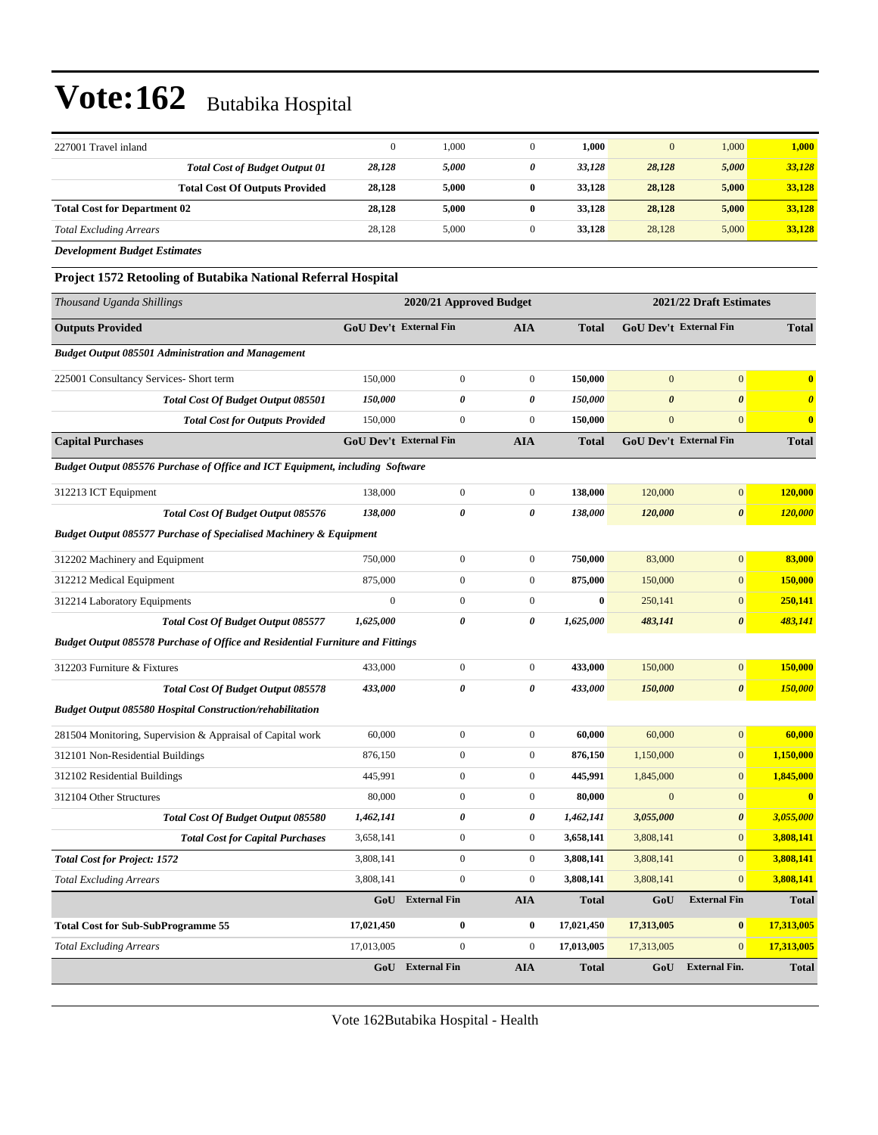| 227001 Travel inland                                                           | $\boldsymbol{0}$              | 1,000                   | $\mathbf{0}$     | 1,000        | $\mathbf{0}$          | 1,000                   | 1,000                 |
|--------------------------------------------------------------------------------|-------------------------------|-------------------------|------------------|--------------|-----------------------|-------------------------|-----------------------|
| <b>Total Cost of Budget Output 01</b>                                          | 28,128                        | 5,000                   | 0                | 33,128       | 28,128                | 5,000                   | 33,128                |
| <b>Total Cost Of Outputs Provided</b>                                          | 28,128                        | 5,000                   | $\bf{0}$         | 33,128       | 28,128                | 5,000                   | 33,128                |
| <b>Total Cost for Department 02</b>                                            | 28,128                        | 5,000                   | $\bf{0}$         | 33,128       | 28,128                | 5,000                   | 33,128                |
| <b>Total Excluding Arrears</b>                                                 | 28,128                        | 5,000                   | $\mathbf{0}$     | 33,128       | 28,128                | 5,000                   | 33,128                |
| <b>Development Budget Estimates</b>                                            |                               |                         |                  |              |                       |                         |                       |
| Project 1572 Retooling of Butabika National Referral Hospital                  |                               |                         |                  |              |                       |                         |                       |
| Thousand Uganda Shillings                                                      |                               | 2020/21 Approved Budget |                  |              |                       | 2021/22 Draft Estimates |                       |
| <b>Outputs Provided</b>                                                        | <b>GoU Dev't External Fin</b> |                         | <b>AIA</b>       | <b>Total</b> |                       | GoU Dev't External Fin  | <b>Total</b>          |
| <b>Budget Output 085501 Administration and Management</b>                      |                               |                         |                  |              |                       |                         |                       |
| 225001 Consultancy Services- Short term                                        | 150,000                       | $\boldsymbol{0}$        | $\mathbf{0}$     | 150,000      | $\mathbf{0}$          | $\mathbf{0}$            | $\bf{0}$              |
| Total Cost Of Budget Output 085501                                             | 150,000                       | 0                       | 0                | 150,000      | $\boldsymbol{\theta}$ | $\boldsymbol{\theta}$   | $\boldsymbol{\theta}$ |
| <b>Total Cost for Outputs Provided</b>                                         | 150,000                       | $\boldsymbol{0}$        | $\mathbf{0}$     | 150,000      | $\mathbf{0}$          | $\mathbf{0}$            | $\bf{0}$              |
| <b>Capital Purchases</b>                                                       | <b>GoU Dev't External Fin</b> |                         | <b>AIA</b>       | <b>Total</b> |                       | GoU Dev't External Fin  | <b>Total</b>          |
| Budget Output 085576 Purchase of Office and ICT Equipment, including Software  |                               |                         |                  |              |                       |                         |                       |
| 312213 ICT Equipment                                                           | 138,000                       | $\boldsymbol{0}$        | $\boldsymbol{0}$ | 138,000      | 120,000               | $\boldsymbol{0}$        | 120,000               |
| Total Cost Of Budget Output 085576                                             | 138,000                       | 0                       | 0                | 138,000      | 120,000               | $\boldsymbol{\theta}$   | <b>120,000</b>        |
| <b>Budget Output 085577 Purchase of Specialised Machinery &amp; Equipment</b>  |                               |                         |                  |              |                       |                         |                       |
| 312202 Machinery and Equipment                                                 | 750,000                       | $\boldsymbol{0}$        | $\boldsymbol{0}$ | 750,000      | 83,000                | $\boldsymbol{0}$        | 83,000                |
| 312212 Medical Equipment                                                       | 875,000                       | $\boldsymbol{0}$        | $\boldsymbol{0}$ | 875,000      | 150,000               | $\mathbf{0}$            | 150,000               |
| 312214 Laboratory Equipments                                                   | $\mathbf{0}$                  | $\boldsymbol{0}$        | $\boldsymbol{0}$ | $\bf{0}$     | 250,141               | $\boldsymbol{0}$        | 250,141               |
| Total Cost Of Budget Output 085577                                             | 1,625,000                     | 0                       | 0                | 1,625,000    | 483,141               | $\boldsymbol{\theta}$   | 483,141               |
| Budget Output 085578 Purchase of Office and Residential Furniture and Fittings |                               |                         |                  |              |                       |                         |                       |
| 312203 Furniture & Fixtures                                                    | 433,000                       | $\boldsymbol{0}$        | $\boldsymbol{0}$ | 433,000      | 150,000               | $\boldsymbol{0}$        | 150,000               |
| Total Cost Of Budget Output 085578                                             | 433,000                       | $\theta$                | 0                | 433,000      | 150,000               | $\boldsymbol{\theta}$   | 150,000               |
| <b>Budget Output 085580 Hospital Construction/rehabilitation</b>               |                               |                         |                  |              |                       |                         |                       |
| 281504 Monitoring, Supervision & Appraisal of Capital work                     | 60,000                        | $\boldsymbol{0}$        | $\mathbf{0}$     | 60,000       | 60,000                | $\mathbf{0}$            | 60,000                |
| 312101 Non-Residential Buildings                                               | 876,150                       | $\boldsymbol{0}$        | $\boldsymbol{0}$ | 876,150      | 1,150,000             | $\mathbf{0}$            | 1,150,000             |
| 312102 Residential Buildings                                                   | 445,991                       | $\boldsymbol{0}$        | 0                | 445,991      | 1,845,000             | $\boldsymbol{0}$        | <u>1,845,000</u>      |
| 312104 Other Structures                                                        | 80,000                        | $\boldsymbol{0}$        | $\boldsymbol{0}$ | 80,000       | $\boldsymbol{0}$      | $\mathbf{0}$            | $\bf{0}$              |
| Total Cost Of Budget Output 085580                                             | 1,462,141                     | 0                       | 0                | 1,462,141    | 3,055,000             | $\pmb{\theta}$          | 3,055,000             |
| <b>Total Cost for Capital Purchases</b>                                        | 3,658,141                     | $\boldsymbol{0}$        | $\boldsymbol{0}$ | 3,658,141    | 3,808,141             | $\mathbf{0}$            | 3,808,141             |
| <b>Total Cost for Project: 1572</b>                                            | 3,808,141                     | $\boldsymbol{0}$        | $\boldsymbol{0}$ | 3,808,141    | 3,808,141             | $\mathbf{0}$            | 3,808,141             |
| <b>Total Excluding Arrears</b>                                                 | 3,808,141                     | $\boldsymbol{0}$        | $\boldsymbol{0}$ | 3,808,141    | 3,808,141             | $\mathbf{0}$            | 3,808,141             |
|                                                                                | GoU                           | <b>External Fin</b>     | <b>AIA</b>       | <b>Total</b> | GoU                   | <b>External Fin</b>     | <b>Total</b>          |
| <b>Total Cost for Sub-SubProgramme 55</b>                                      | 17,021,450                    | 0                       | 0                | 17,021,450   | 17,313,005            | $\vert 0 \vert$         | 17,313,005            |
| <b>Total Excluding Arrears</b>                                                 | 17,013,005                    | $\boldsymbol{0}$        | $\boldsymbol{0}$ | 17,013,005   | 17,313,005            | $\mathbf{0}$            | 17,313,005            |
|                                                                                |                               | GoU External Fin        | <b>AIA</b>       | <b>Total</b> | GoU                   | <b>External Fin.</b>    | <b>Total</b>          |
|                                                                                |                               |                         |                  |              |                       |                         |                       |